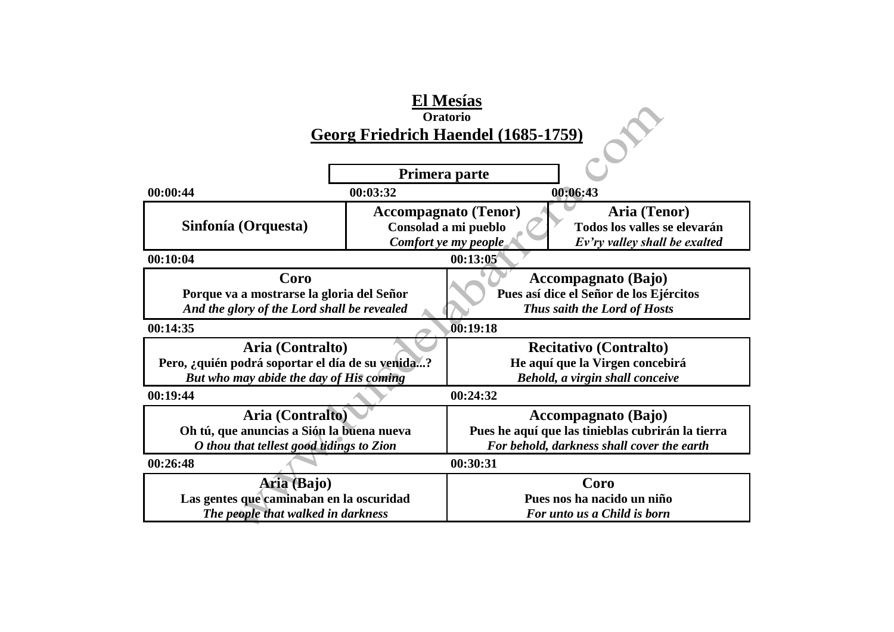|                                                  |                                                       | El Mesías                                            |  |  |  |  |
|--------------------------------------------------|-------------------------------------------------------|------------------------------------------------------|--|--|--|--|
| Oratorio                                         |                                                       |                                                      |  |  |  |  |
|                                                  |                                                       | Georg Friedrich Haendel (1685-1759)                  |  |  |  |  |
|                                                  |                                                       |                                                      |  |  |  |  |
|                                                  | Primera parte                                         |                                                      |  |  |  |  |
| 00:00:44                                         | 00:03:32                                              | 00:06:43                                             |  |  |  |  |
|                                                  |                                                       | <b>Accompagnato (Tenor)</b><br>Aria (Tenor)          |  |  |  |  |
| Sinfonía (Orquesta)                              |                                                       | Consolad a mi pueblo<br>Todos los valles se elevarán |  |  |  |  |
|                                                  | Comfort ye my people<br>Ev'ry valley shall be exalted |                                                      |  |  |  |  |
| 00:13:05<br>00:10:04                             |                                                       |                                                      |  |  |  |  |
| Coro                                             |                                                       | Accompagnato (Bajo)                                  |  |  |  |  |
| Porque va a mostrarse la gloria del Señor        |                                                       | Pues así dice el Señor de los Ejércitos              |  |  |  |  |
| And the glory of the Lord shall be revealed      |                                                       | Thus saith the Lord of Hosts                         |  |  |  |  |
| 00:14:35                                         |                                                       | 00:19:18                                             |  |  |  |  |
| Aria (Contralto)                                 |                                                       | <b>Recitativo (Contralto)</b>                        |  |  |  |  |
| Pero, ¿quién podrá soportar el día de su venida? |                                                       | He aquí que la Virgen concebirá                      |  |  |  |  |
| But who may abide the day of His coming          |                                                       | Behold, a virgin shall conceive                      |  |  |  |  |
| 00:19:44                                         |                                                       | 00:24:32                                             |  |  |  |  |
| Aria (Contralto)                                 |                                                       | <b>Accompagnato</b> (Bajo)                           |  |  |  |  |
| Oh tú, que anuncias a Sión la buena nueva        |                                                       | Pues he aquí que las tinieblas cubrirán la tierra    |  |  |  |  |
| O thou that tellest good tidings to Zion         |                                                       | For behold, darkness shall cover the earth           |  |  |  |  |
| 00:26:48<br>00:30:31                             |                                                       |                                                      |  |  |  |  |
| Aria (Bajo)                                      |                                                       | Coro                                                 |  |  |  |  |
| Las gentes que caminaban en la oscuridad         |                                                       | Pues nos ha nacido un niño                           |  |  |  |  |
| The people that walked in darkness               |                                                       | For unto us a Child is born                          |  |  |  |  |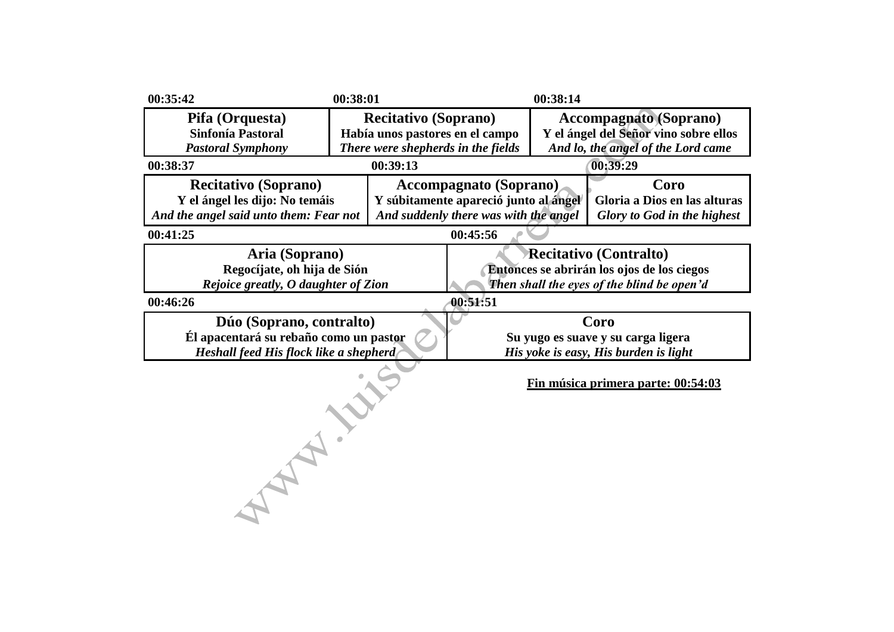| 00:35:42                                                                                                     | 00:38:01                                                                                             |                                                                                                                           | 00:38:14                                                                                                     |                                                                                     |
|--------------------------------------------------------------------------------------------------------------|------------------------------------------------------------------------------------------------------|---------------------------------------------------------------------------------------------------------------------------|--------------------------------------------------------------------------------------------------------------|-------------------------------------------------------------------------------------|
| Pifa (Orquesta)<br>Sinfonía Pastoral<br><b>Pastoral Symphony</b>                                             | <b>Recitativo (Soprano)</b><br>Había unos pastores en el campo<br>There were shepherds in the fields |                                                                                                                           | <b>Accompagnato</b> (Soprano)<br>Y el ángel del Señor vino sobre ellos<br>And lo, the angel of the Lord came |                                                                                     |
| 00:38:37                                                                                                     | 00:39:13                                                                                             |                                                                                                                           |                                                                                                              | 00:39:29                                                                            |
| <b>Recitativo (Soprano)</b><br>Y el ángel les dijo: No temáis<br>And the angel said unto them: Fear not      |                                                                                                      | <b>Accompagnato</b> (Soprano)<br>Y súbitamente apareció junto al ángel<br>And suddenly there was with the angel           |                                                                                                              | Coro<br>Gloria a Dios en las alturas<br><b>Glory to God in the highest</b>          |
| 00:41:25                                                                                                     |                                                                                                      | 00:45:56                                                                                                                  |                                                                                                              |                                                                                     |
| Aria (Soprano)<br>Regocíjate, oh hija de Sión<br>Rejoice greatly, O daughter of Zion                         |                                                                                                      | <b>Recitativo (Contralto)</b><br>Entonces se abrirán los ojos de los ciegos<br>Then shall the eyes of the blind be open'd |                                                                                                              |                                                                                     |
| 00:46:26                                                                                                     |                                                                                                      | 00:51:51                                                                                                                  |                                                                                                              |                                                                                     |
| Dúo (Soprano, contralto)<br>Él apacentará su rebaño como un pastor<br>Heshall feed His flock like a shepherd |                                                                                                      |                                                                                                                           |                                                                                                              | Coro<br>Su yugo es suave y su carga ligera<br>His yoke is easy, His burden is light |
|                                                                                                              |                                                                                                      |                                                                                                                           |                                                                                                              | Fin música primera parte: 00:54:03                                                  |
|                                                                                                              |                                                                                                      |                                                                                                                           |                                                                                                              |                                                                                     |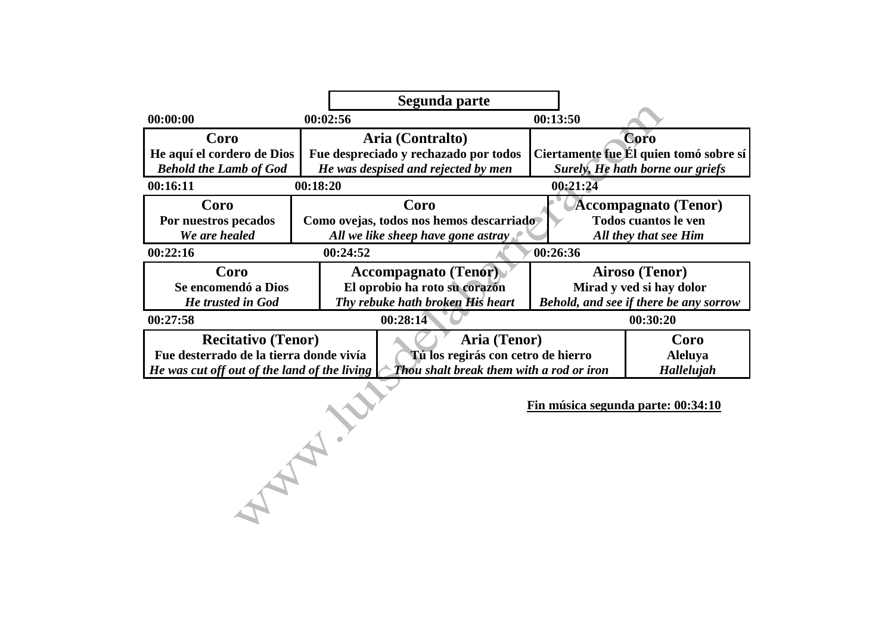|                                              | Segunda parte                            |                                                               |
|----------------------------------------------|------------------------------------------|---------------------------------------------------------------|
| 00:00:00                                     | 00:02:56                                 | 00:13:50                                                      |
| Coro                                         | Aria (Contralto)                         | Coro                                                          |
| He aquí el cordero de Dios                   | Fue despreciado y rechazado por todos    | Ciertamente fue Él quien tomó sobre sí                        |
| <b>Behold the Lamb of God</b>                | He was despised and rejected by men      | Surely, He hath borne our griefs                              |
| 00:16:11                                     | 00:18:20                                 | 00:21:24                                                      |
| Coro                                         | Coro                                     | <b>Accompagnato</b> (Tenor)                                   |
| Por nuestros pecados                         | Como ovejas, todos nos hemos descarriado | <b>Todos cuantos le ven</b>                                   |
| We are healed                                | All we like sheep have gone astray       | All they that see Him                                         |
| 00:22:16                                     | 00:24:52                                 | 00:26:36                                                      |
| Coro                                         | <b>Accompagnato (Tenor)</b>              | Airoso (Tenor)                                                |
| Se encomendó a Dios                          | El oprobio ha roto su corazón            | Mirad y ved si hay dolor                                      |
| He trusted in God                            | Thy rebuke hath broken His heart         | Behold, and see if there be any sorrow                        |
| 00:27:58                                     | 00:28:14                                 | 00:30:20                                                      |
| <b>Recitativo</b> (Tenor)                    |                                          | Aria (Tenor)<br>Coro                                          |
| Fue desterrado de la tierra donde vivía      |                                          | Tú los regirás con cetro de hierro<br>Aleluya                 |
| He was cut off out of the land of the living |                                          | <b>Thou</b> shalt break them with a rod or iron<br>Hallelujah |

**Fin música segunda parte: 00:34:10**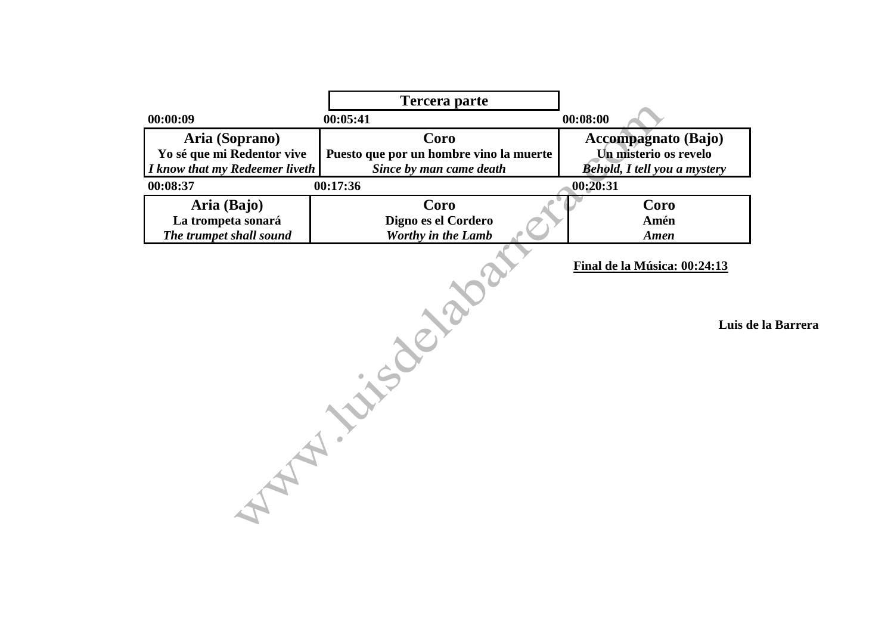|                                                                                | <b>Tercera parte</b>                                                       |                                                                                            |  |
|--------------------------------------------------------------------------------|----------------------------------------------------------------------------|--------------------------------------------------------------------------------------------|--|
| 00:00:09                                                                       | 00:05:41                                                                   | 00:08:00                                                                                   |  |
| Aria (Soprano)<br>Yo sé que mi Redentor vive<br>I know that my Redeemer liveth | Coro<br>Puesto que por un hombre vino la muerte<br>Since by man came death | <b>Accompagnato (Bajo)</b><br>Un misterio os revelo<br><b>Behold, I tell you a mystery</b> |  |
| 00:08:37                                                                       | 00:17:36                                                                   | 00:20:31                                                                                   |  |
| Aria (Bajo)<br>La trompeta sonará<br>The trumpet shall sound                   | Coro<br>Digno es el Cordero<br>Worthy in the Lamb                          | Coro<br>Amén<br>Amen                                                                       |  |
|                                                                                | INCO                                                                       | Final de la Música: 00:24:13<br>Luis de la Barrera                                         |  |